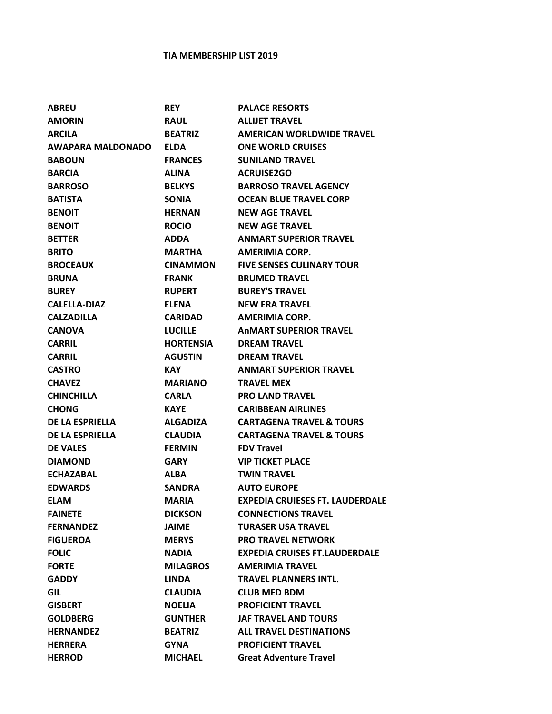## **TIA MEMBERSHIP LIST 2019**

| <b>ABREU</b>             | <b>REY</b>       | <b>PALACE RESORTS</b>                  |
|--------------------------|------------------|----------------------------------------|
| <b>AMORIN</b>            | <b>RAUL</b>      | <b>ALLIJET TRAVEL</b>                  |
| <b>ARCILA</b>            | <b>BEATRIZ</b>   | <b>AMERICAN WORLDWIDE TRAVEL</b>       |
| <b>AWAPARA MALDONADO</b> | <b>ELDA</b>      | <b>ONE WORLD CRUISES</b>               |
| <b>BABOUN</b>            | <b>FRANCES</b>   | <b>SUNILAND TRAVEL</b>                 |
| <b>BARCIA</b>            | <b>ALINA</b>     | <b>ACRUISE2GO</b>                      |
| <b>BARROSO</b>           | <b>BELKYS</b>    | <b>BARROSO TRAVEL AGENCY</b>           |
| <b>BATISTA</b>           | <b>SONIA</b>     | <b>OCEAN BLUE TRAVEL CORP</b>          |
| <b>BENOIT</b>            | <b>HERNAN</b>    | <b>NEW AGE TRAVEL</b>                  |
| <b>BENOIT</b>            | <b>ROCIO</b>     | <b>NEW AGE TRAVEL</b>                  |
| <b>BETTER</b>            | ADDA             | <b>ANMART SUPERIOR TRAVEL</b>          |
| <b>BRITO</b>             | MARTHA           | AMERIMIA CORP.                         |
| <b>BROCEAUX</b>          | <b>CINAMMON</b>  | <b>FIVE SENSES CULINARY TOUR</b>       |
| <b>BRUNA</b>             | <b>FRANK</b>     | <b>BRUMED TRAVEL</b>                   |
| <b>BUREY</b>             | <b>RUPERT</b>    | <b>BUREY'S TRAVEL</b>                  |
| <b>CALELLA-DIAZ</b>      | <b>ELENA</b>     | <b>NEW ERA TRAVEL</b>                  |
| <b>CALZADILLA</b>        | <b>CARIDAD</b>   | AMERIMIA CORP.                         |
| <b>CANOVA</b>            | LUCILLE          | <b>ANMART SUPERIOR TRAVEL</b>          |
| <b>CARRIL</b>            | <b>HORTENSIA</b> | <b>DREAM TRAVEL</b>                    |
| <b>CARRIL</b>            | <b>AGUSTIN</b>   | <b>DREAM TRAVEL</b>                    |
| <b>CASTRO</b>            | KAY.             | <b>ANMART SUPERIOR TRAVEL</b>          |
| <b>CHAVEZ</b>            | <b>MARIANO</b>   | <b>TRAVEL MEX</b>                      |
| <b>CHINCHILLA</b>        | <b>CARLA</b>     | <b>PRO LAND TRAVEL</b>                 |
| <b>CHONG</b>             | <b>KAYE</b>      | <b>CARIBBEAN AIRLINES</b>              |
| DE LA ESPRIELLA          | <b>ALGADIZA</b>  | <b>CARTAGENA TRAVEL &amp; TOURS</b>    |
| <b>DE LA ESPRIELLA</b>   | <b>CLAUDIA</b>   | <b>CARTAGENA TRAVEL &amp; TOURS</b>    |
| <b>DE VALES</b>          | <b>FERMIN</b>    | <b>FDV Travel</b>                      |
| <b>DIAMOND</b>           | <b>GARY</b>      | <b>VIP TICKET PLACE</b>                |
| <b>ECHAZABAL</b>         | <b>ALBA</b>      | <b>TWIN TRAVEL</b>                     |
| <b>EDWARDS</b>           | <b>SANDRA</b>    | <b>AUTO EUROPE</b>                     |
| <b>ELAM</b>              | <b>MARIA</b>     | <b>EXPEDIA CRUIESES FT. LAUDERDALE</b> |
| <b>FAINETE</b>           | <b>DICKSON</b>   | <b>CONNECTIONS TRAVEL</b>              |
| <b>FERNANDEZ</b>         | JAIME            | <b>TURASER USA TRAVEL</b>              |
| <b>FIGUEROA</b>          | <b>MERYS</b>     | <b>PRO TRAVEL NETWORK</b>              |
| <b>FOLIC</b>             | <b>NADIA</b>     | <b>EXPEDIA CRUISES FT.LAUDERDALE</b>   |
| <b>FORTE</b>             | <b>MILAGROS</b>  | <b>AMERIMIA TRAVEL</b>                 |
| <b>GADDY</b>             | <b>LINDA</b>     | TRAVEL PLANNERS INTL.                  |
| <b>GIL</b>               | <b>CLAUDIA</b>   | <b>CLUB MED BDM</b>                    |
| <b>GISBERT</b>           | <b>NOELIA</b>    | <b>PROFICIENT TRAVEL</b>               |
| <b>GOLDBERG</b>          | <b>GUNTHER</b>   | <b>JAF TRAVEL AND TOURS</b>            |
| <b>HERNANDEZ</b>         | <b>BEATRIZ</b>   | <b>ALL TRAVEL DESTINATIONS</b>         |
| <b>HERRERA</b>           | <b>GYNA</b>      | <b>PROFICIENT TRAVEL</b>               |
| <b>HERROD</b>            | <b>MICHAEL</b>   | <b>Great Adventure Travel</b>          |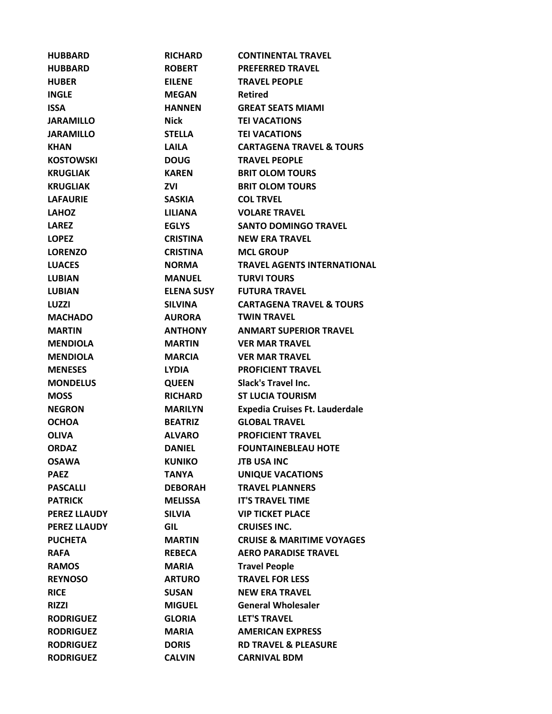| <b>HUBBARD</b>      | <b>RICHARD</b>  | <b>CONTINENTAL TRAVEL</b>             |
|---------------------|-----------------|---------------------------------------|
| <b>HUBBARD</b>      | <b>ROBERT</b>   | <b>PREFERRED TRAVEL</b>               |
| <b>HUBER</b>        | <b>EILENE</b>   | <b>TRAVEL PEOPLE</b>                  |
| <b>INGLE</b>        | <b>MEGAN</b>    | <b>Retired</b>                        |
| <b>ISSA</b>         | <b>HANNEN</b>   | <b>GREAT SEATS MIAMI</b>              |
| <b>JARAMILLO</b>    | Nick            | <b>TEI VACATIONS</b>                  |
| <b>JARAMILLO</b>    | STELLA          | <b>TEI VACATIONS</b>                  |
| <b>KHAN</b>         | <b>LAILA</b>    | <b>CARTAGENA TRAVEL &amp; TOURS</b>   |
| <b>KOSTOWSKI</b>    | <b>DOUG</b>     | <b>TRAVEL PEOPLE</b>                  |
| <b>KRUGLIAK</b>     | <b>KAREN</b>    | <b>BRIT OLOM TOURS</b>                |
| <b>KRUGLIAK</b>     | ZVI             | <b>BRIT OLOM TOURS</b>                |
| <b>LAFAURIE</b>     | <b>SASKIA</b>   | <b>COL TRVEL</b>                      |
| <b>LAHOZ</b>        | LILIANA         | <b>VOLARE TRAVEL</b>                  |
| <b>LAREZ</b>        | <b>EGLYS</b>    | <b>SANTO DOMINGO TRAVEL</b>           |
| <b>LOPEZ</b>        | <b>CRISTINA</b> | <b>NEW ERA TRAVEL</b>                 |
| <b>LORENZO</b>      | <b>CRISTINA</b> | <b>MCL GROUP</b>                      |
| <b>LUACES</b>       | NORMA           | <b>TRAVEL AGENTS INTERNATIONAL</b>    |
| <b>LUBIAN</b>       | <b>MANUEL</b>   | <b>TURVI TOURS</b>                    |
| <b>LUBIAN</b>       | ELENA SUSY      | <b>FUTURA TRAVEL</b>                  |
| LUZZI               | <b>SILVINA</b>  | <b>CARTAGENA TRAVEL &amp; TOURS</b>   |
| <b>MACHADO</b>      | <b>AURORA</b>   | <b>TWIN TRAVEL</b>                    |
| <b>MARTIN</b>       | <b>ANTHONY</b>  | <b>ANMART SUPERIOR TRAVEL</b>         |
| <b>MENDIOLA</b>     | <b>MARTIN</b>   | <b>VER MAR TRAVEL</b>                 |
| <b>MENDIOLA</b>     | <b>MARCIA</b>   | <b>VER MAR TRAVEL</b>                 |
| <b>MENESES</b>      | <b>LYDIA</b>    | <b>PROFICIENT TRAVEL</b>              |
| <b>MONDELUS</b>     | <b>QUEEN</b>    | <b>Slack's Travel Inc.</b>            |
| <b>MOSS</b>         | <b>RICHARD</b>  | <b>ST LUCIA TOURISM</b>               |
| <b>NEGRON</b>       | <b>MARILYN</b>  | <b>Expedia Cruises Ft. Lauderdale</b> |
| <b>OCHOA</b>        | <b>BEATRIZ</b>  | <b>GLOBAL TRAVEL</b>                  |
| <b>OLIVA</b>        | <b>ALVARO</b>   | <b>PROFICIENT TRAVEL</b>              |
| <b>ORDAZ</b>        | <b>DANIEL</b>   | <b>FOUNTAINEBLEAU HOTE</b>            |
| <b>OSAWA</b>        | <b>KUNIKO</b>   | <b>JTB USA INC</b>                    |
| <b>PAEZ</b>         | <b>TANYA</b>    | <b>UNIQUE VACATIONS</b>               |
| <b>PASCALLI</b>     | <b>DEBORAH</b>  | <b>TRAVEL PLANNERS</b>                |
| <b>PATRICK</b>      | <b>MELISSA</b>  | <b>IT'S TRAVEL TIME</b>               |
| <b>PEREZ LLAUDY</b> | <b>SILVIA</b>   | <b>VIP TICKET PLACE</b>               |
| <b>PEREZ LLAUDY</b> | <b>GIL</b>      | <b>CRUISES INC.</b>                   |
| <b>PUCHETA</b>      | <b>MARTIN</b>   | <b>CRUISE &amp; MARITIME VOYAGES</b>  |
| <b>RAFA</b>         | <b>REBECA</b>   | <b>AERO PARADISE TRAVEL</b>           |
| <b>RAMOS</b>        | <b>MARIA</b>    | <b>Travel People</b>                  |
| <b>REYNOSO</b>      | <b>ARTURO</b>   | <b>TRAVEL FOR LESS</b>                |
| <b>RICE</b>         | <b>SUSAN</b>    | <b>NEW ERA TRAVEL</b>                 |
| <b>RIZZI</b>        | <b>MIGUEL</b>   | <b>General Wholesaler</b>             |
| <b>RODRIGUEZ</b>    | <b>GLORIA</b>   | <b>LET'S TRAVEL</b>                   |
| <b>RODRIGUEZ</b>    | <b>MARIA</b>    | <b>AMERICAN EXPRESS</b>               |
| <b>RODRIGUEZ</b>    | <b>DORIS</b>    | <b>RD TRAVEL &amp; PLEASURE</b>       |
| <b>RODRIGUEZ</b>    | <b>CALVIN</b>   | <b>CARNIVAL BDM</b>                   |